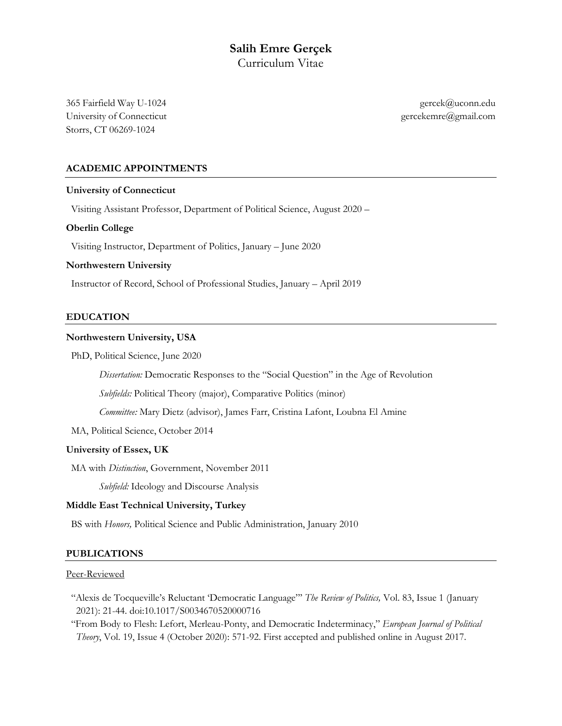# **Salih Emre Gerçek** Curriculum Vitae

365 Fairfield Way U-1024 gercek@uconn.edu University of Connecticut gercekemre@gmail.com Storrs, CT 06269-1024

# **ACADEMIC APPOINTMENTS**

#### **University of Connecticut**

Visiting Assistant Professor, Department of Political Science, August 2020 –

#### **Oberlin College**

Visiting Instructor, Department of Politics, January – June 2020

#### **Northwestern University**

Instructor of Record, School of Professional Studies, January – April 2019

#### **EDUCATION**

## **Northwestern University, USA**

PhD, Political Science, June 2020

*Dissertation:* Democratic Responses to the "Social Question" in the Age of Revolution

*Subfields:* Political Theory (major), Comparative Politics (minor)

*Committee:* Mary Dietz (advisor), James Farr, Cristina Lafont, Loubna El Amine

MA, Political Science, October 2014

#### **University of Essex, UK**

MA with *Distinction*, Government, November 2011

*Subfield:* Ideology and Discourse Analysis

#### **Middle East Technical University, Turkey**

BS with *Honors,* Political Science and Public Administration, January 2010

#### **PUBLICATIONS**

#### Peer-Reviewed

 "Alexis de Tocqueville's Reluctant 'Democratic Language"' *The Review of Politics,* Vol. 83, Issue 1 (January 2021): 21-44. doi:10.1017/S0034670520000716

 "From Body to Flesh: Lefort, Merleau-Ponty, and Democratic Indeterminacy," *European Journal of Political Theory*, Vol. 19, Issue 4 (October 2020): 571-92. First accepted and published online in August 2017.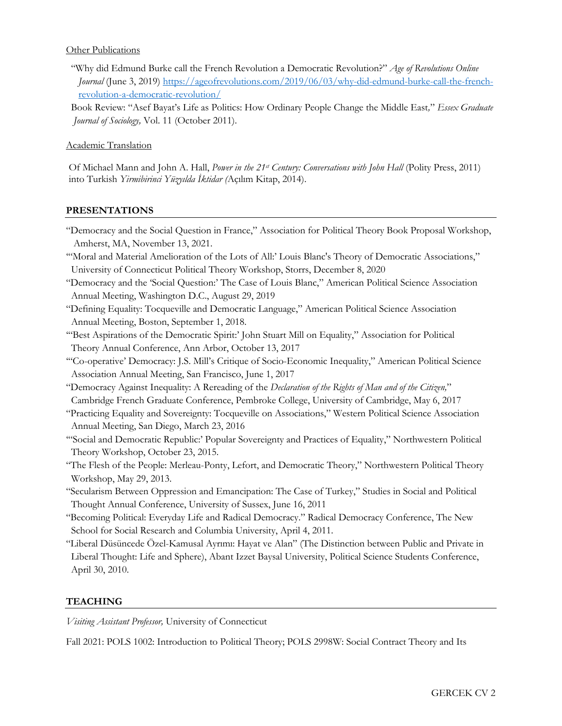## Other Publications

"Why did Edmund Burke call the French Revolution a Democratic Revolution?" *Age of Revolutions Online Journal* (June 3, 2019) https://ageofrevolutions.com/2019/06/03/why-did-edmund-burke-call-the-frenchrevolution-a-democratic-revolution/

Book Review: "Asef Bayat's Life as Politics: How Ordinary People Change the Middle East*,*" *Essex Graduate Journal of Sociology,* Vol. 11 (October 2011).

Academic Translation

Of Michael Mann and John A. Hall, *Power in the 21st Century: Conversations with John Hall* (Polity Press, 2011) into Turkish *Yirmibirinci Yüzyılda İktidar (*Açılım Kitap, 2014).

## **PRESENTATIONS**

- "Democracy and the Social Question in France," Association for Political Theory Book Proposal Workshop, Amherst, MA, November 13, 2021.
- '"Moral and Material Amelioration of the Lots of All:' Louis Blanc's Theory of Democratic Associations," University of Connecticut Political Theory Workshop, Storrs, December 8, 2020
- "Democracy and the 'Social Question:' The Case of Louis Blanc," American Political Science Association Annual Meeting, Washington D.C., August 29, 2019
- "Defining Equality: Tocqueville and Democratic Language," American Political Science Association Annual Meeting, Boston, September 1, 2018.
- '"Best Aspirations of the Democratic Spirit:' John Stuart Mill on Equality," Association for Political Theory Annual Conference, Ann Arbor, October 13, 2017
- '"Co-operative' Democracy: J.S. Mill's Critique of Socio-Economic Inequality," American Political Science Association Annual Meeting, San Francisco, June 1, 2017
- "Democracy Against Inequality: A Rereading of the *Declaration of the Rights of Man and of the Citizen,*" Cambridge French Graduate Conference, Pembroke College, University of Cambridge, May 6, 2017
- "Practicing Equality and Sovereignty: Tocqueville on Associations," Western Political Science Association Annual Meeting, San Diego, March 23, 2016
- '"Social and Democratic Republic:' Popular Sovereignty and Practices of Equality," Northwestern Political Theory Workshop, October 23, 2015.
- "The Flesh of the People: Merleau-Ponty, Lefort, and Democratic Theory," Northwestern Political Theory Workshop, May 29, 2013.
- "Secularism Between Oppression and Emancipation: The Case of Turkey," Studies in Social and Political Thought Annual Conference, University of Sussex, June 16, 2011
- "Becoming Political: Everyday Life and Radical Democracy." Radical Democracy Conference, The New School for Social Research and Columbia University, April 4, 2011.
- "Liberal Düsüncede Özel-Kamusal Ayrımı: Hayat ve Alan" (The Distinction between Public and Private in Liberal Thought: Life and Sphere), Abant Izzet Baysal University, Political Science Students Conference, April 30, 2010.

# **TEACHING**

*Visiting Assistant Professor,* University of Connecticut

Fall 2021: POLS 1002: Introduction to Political Theory; POLS 2998W: Social Contract Theory and Its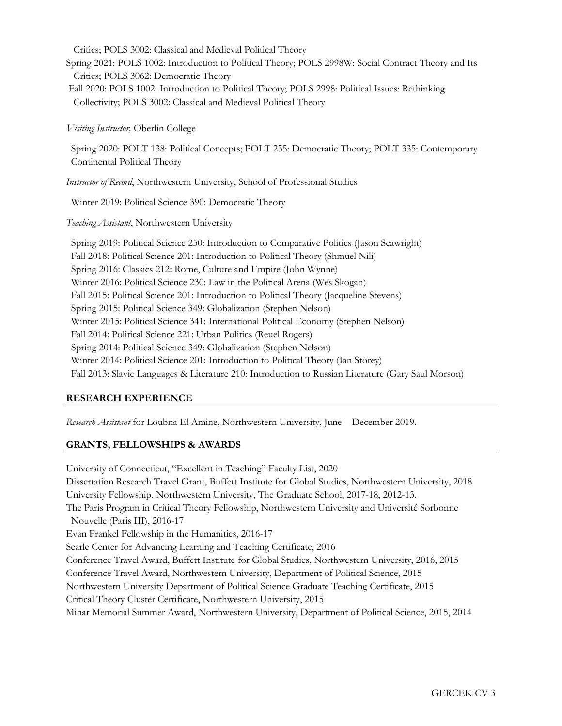Critics; POLS 3002: Classical and Medieval Political Theory

Spring 2021: POLS 1002: Introduction to Political Theory; POLS 2998W: Social Contract Theory and Its Critics; POLS 3062: Democratic Theory

Fall 2020: POLS 1002: Introduction to Political Theory; POLS 2998: Political Issues: Rethinking Collectivity; POLS 3002: Classical and Medieval Political Theory

*Visiting Instructor,* Oberlin College

Spring 2020: POLT 138: Political Concepts; POLT 255: Democratic Theory; POLT 335: Contemporary Continental Political Theory

*Instructor of Record*, Northwestern University, School of Professional Studies

Winter 2019: Political Science 390: Democratic Theory

*Teaching Assistant*, Northwestern University

Spring 2019: Political Science 250: Introduction to Comparative Politics (Jason Seawright) Fall 2018: Political Science 201: Introduction to Political Theory (Shmuel Nili) Spring 2016: Classics 212: Rome, Culture and Empire (John Wynne) Winter 2016: Political Science 230: Law in the Political Arena (Wes Skogan) Fall 2015: Political Science 201: Introduction to Political Theory (Jacqueline Stevens) Spring 2015: Political Science 349: Globalization (Stephen Nelson) Winter 2015: Political Science 341: International Political Economy (Stephen Nelson) Fall 2014: Political Science 221: Urban Politics (Reuel Rogers) Spring 2014: Political Science 349: Globalization (Stephen Nelson) Winter 2014: Political Science 201: Introduction to Political Theory (Ian Storey) Fall 2013: Slavic Languages & Literature 210: Introduction to Russian Literature (Gary Saul Morson)

# **RESEARCH EXPERIENCE**

*Research Assistant* for Loubna El Amine, Northwestern University, June – December 2019.

# **GRANTS, FELLOWSHIPS & AWARDS**

University of Connecticut, "Excellent in Teaching" Faculty List, 2020 Dissertation Research Travel Grant, Buffett Institute for Global Studies, Northwestern University, 2018 University Fellowship, Northwestern University, The Graduate School, 2017-18, 2012-13. The Paris Program in Critical Theory Fellowship, Northwestern University and Université Sorbonne Nouvelle (Paris III), 2016-17 Evan Frankel Fellowship in the Humanities, 2016-17 Searle Center for Advancing Learning and Teaching Certificate, 2016 Conference Travel Award, Buffett Institute for Global Studies, Northwestern University, 2016, 2015 Conference Travel Award, Northwestern University, Department of Political Science, 2015 Northwestern University Department of Political Science Graduate Teaching Certificate, 2015 Critical Theory Cluster Certificate, Northwestern University, 2015 Minar Memorial Summer Award, Northwestern University, Department of Political Science, 2015, 2014